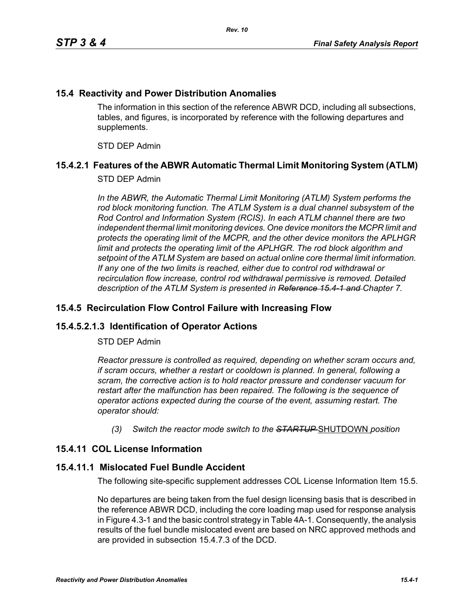### **15.4 Reactivity and Power Distribution Anomalies**

The information in this section of the reference ABWR DCD, including all subsections, tables, and figures, is incorporated by reference with the following departures and supplements.

STD DEP Admin

### **15.4.2.1 Features of the ABWR Automatic Thermal Limit Monitoring System (ATLM)**

#### STD DEP Admin

In the ABWR, the Automatic Thermal Limit Monitoring (ATLM) System performs the *rod block monitoring function. The ATLM System is a dual channel subsystem of the Rod Control and Information System (RCIS). In each ATLM channel there are two independent thermal limit monitoring devices. One device monitors the MCPR limit and protects the operating limit of the MCPR, and the other device monitors the APLHGR*  limit and protects the operating limit of the APLHGR. The rod block algorithm and *setpoint of the ATLM System are based on actual online core thermal limit information. If any one of the two limits is reached, either due to control rod withdrawal or recirculation flow increase, control rod withdrawal permissive is removed. Detailed description of the ATLM System is presented in Reference 15.4-1 and Chapter 7.*

#### **15.4.5 Recirculation Flow Control Failure with Increasing Flow**

#### **15.4.5.2.1.3 Identification of Operator Actions**

#### STD DEP Admin

*Reactor pressure is controlled as required, depending on whether scram occurs and, if scram occurs, whether a restart or cooldown is planned. In general, following a scram, the corrective action is to hold reactor pressure and condenser vacuum for restart after the malfunction has been repaired. The following is the sequence of operator actions expected during the course of the event, assuming restart. The operator should:*

*(3) Switch the reactor mode switch to the STARTUP* SHUTDOWN *position*

# **15.4.11 COL License Information**

#### **15.4.11.1 Mislocated Fuel Bundle Accident**

The following site-specific supplement addresses COL License Information Item 15.5.

No departures are being taken from the fuel design licensing basis that is described in the reference ABWR DCD, including the core loading map used for response analysis in Figure 4.3-1 and the basic control strategy in Table 4A-1. Consequently, the analysis results of the fuel bundle mislocated event are based on NRC approved methods and are provided in subsection 15.4.7.3 of the DCD.